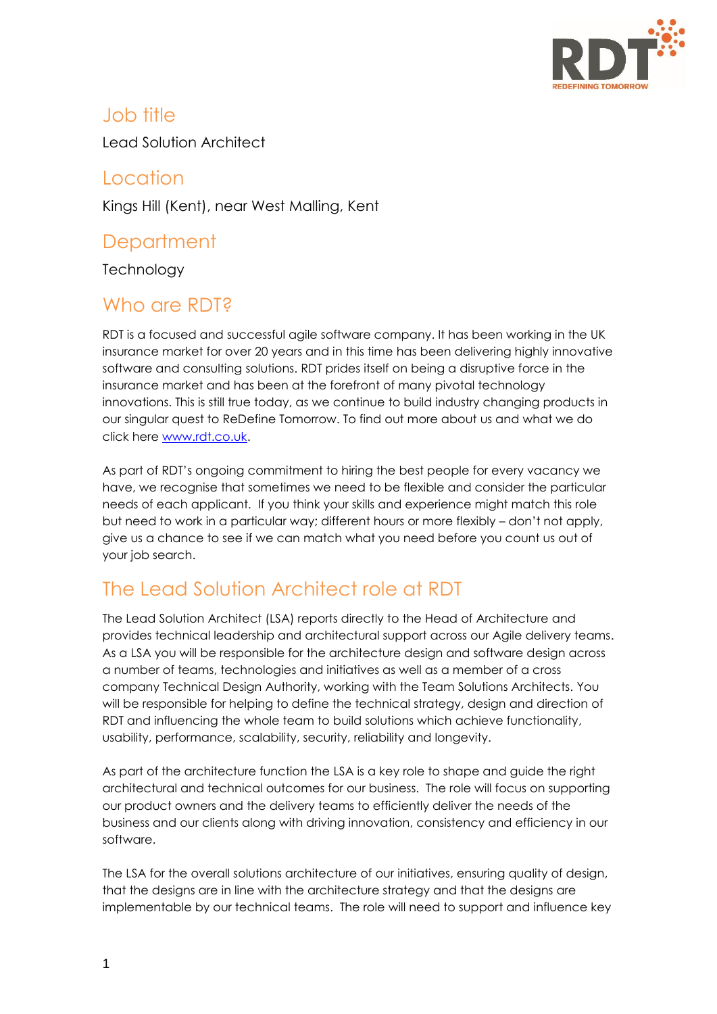

### Job title

Lead Solution Architect

### Location

Kings Hill (Kent), near West Malling, Kent

## **Department**

**Technology** 

## Who are RDT<sub>2</sub>

RDT is a focused and successful agile software company. It has been working in the UK insurance market for over 20 years and in this time has been delivering highly innovative software and consulting solutions. RDT prides itself on being a disruptive force in the insurance market and has been at the forefront of many pivotal technology innovations. This is still true today, as we continue to build industry changing products in our singular quest to ReDefine Tomorrow. To find out more about us and what we do click here [www.rdt.co.uk.](http://www.rdt.co.uk/)

As part of RDT's ongoing commitment to hiring the best people for every vacancy we have, we recognise that sometimes we need to be flexible and consider the particular needs of each applicant. If you think your skills and experience might match this role but need to work in a particular way; different hours or more flexibly – don't not apply, give us a chance to see if we can match what you need before you count us out of your job search.

## The Lead Solution Architect role at RDT

The Lead Solution Architect (LSA) reports directly to the Head of Architecture and provides technical leadership and architectural support across our Agile delivery teams. As a LSA you will be responsible for the architecture design and software design across a number of teams, technologies and initiatives as well as a member of a cross company Technical Design Authority, working with the Team Solutions Architects. You will be responsible for helping to define the technical strategy, design and direction of RDT and influencing the whole team to build solutions which achieve functionality, usability, performance, scalability, security, reliability and longevity.

As part of the architecture function the LSA is a key role to shape and guide the right architectural and technical outcomes for our business. The role will focus on supporting our product owners and the delivery teams to efficiently deliver the needs of the business and our clients along with driving innovation, consistency and efficiency in our software.

The LSA for the overall solutions architecture of our initiatives, ensuring quality of design, that the designs are in line with the architecture strategy and that the designs are implementable by our technical teams. The role will need to support and influence key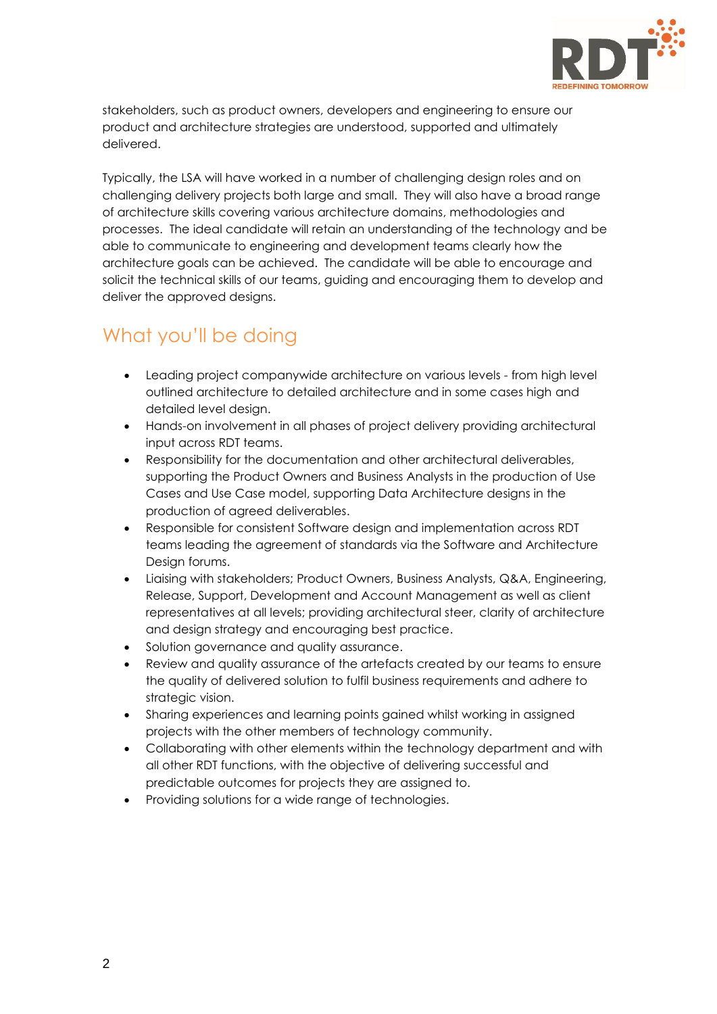

stakeholders, such as product owners, developers and engineering to ensure our product and architecture strategies are understood, supported and ultimately delivered.

Typically, the LSA will have worked in a number of challenging design roles and on challenging delivery projects both large and small. They will also have a broad range of architecture skills covering various architecture domains, methodologies and processes. The ideal candidate will retain an understanding of the technology and be able to communicate to engineering and development teams clearly how the architecture goals can be achieved. The candidate will be able to encourage and solicit the technical skills of our teams, guiding and encouraging them to develop and deliver the approved designs.

## What you'll be doing

- Leading project companywide architecture on various levels from high level outlined architecture to detailed architecture and in some cases high and detailed level design.
- Hands-on involvement in all phases of project delivery providing architectural input across RDT teams.
- Responsibility for the documentation and other architectural deliverables, supporting the Product Owners and Business Analysts in the production of Use Cases and Use Case model, supporting Data Architecture designs in the production of agreed deliverables.
- Responsible for consistent Software design and implementation across RDT teams leading the agreement of standards via the Software and Architecture Design forums.
- Liaising with stakeholders; Product Owners, Business Analysts, Q&A, Engineering, Release, Support, Development and Account Management as well as client representatives at all levels; providing architectural steer, clarity of architecture and design strategy and encouraging best practice.
- Solution governance and quality assurance.
- Review and quality assurance of the artefacts created by our teams to ensure the quality of delivered solution to fulfil business requirements and adhere to strategic vision.
- Sharing experiences and learning points gained whilst working in assigned projects with the other members of technology community.
- Collaborating with other elements within the technology department and with all other RDT functions, with the objective of delivering successful and predictable outcomes for projects they are assigned to.
- Providing solutions for a wide range of technologies.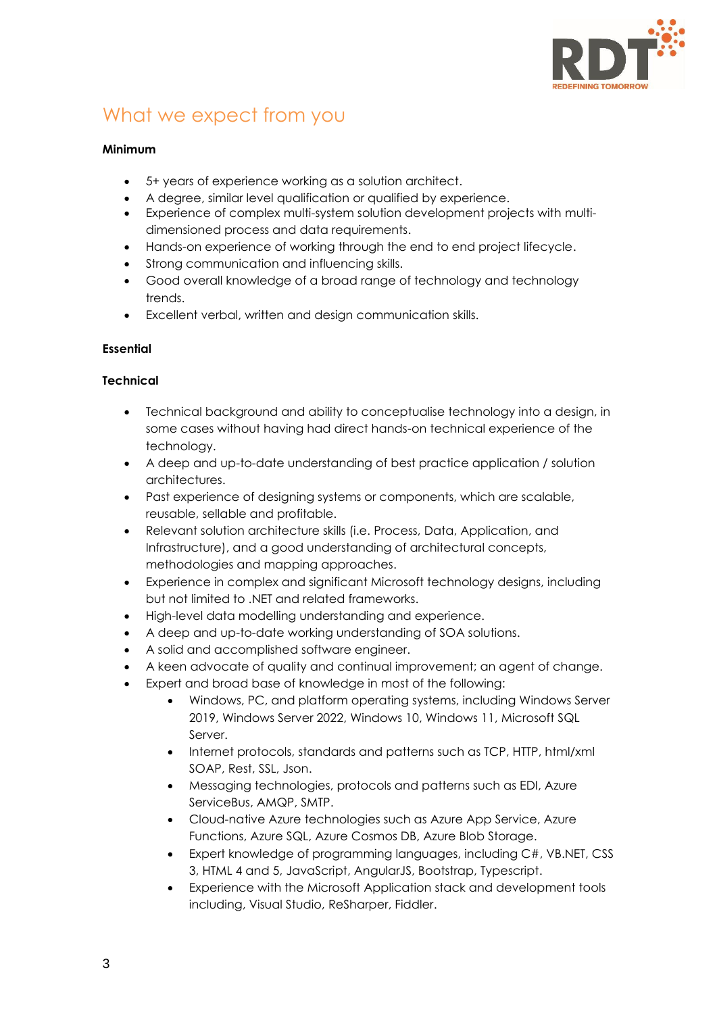

## What we expect from you

#### **Minimum**

- 5+ years of experience working as a solution architect.
- A degree, similar level qualification or qualified by experience.
- Experience of complex multi-system solution development projects with multidimensioned process and data requirements.
- Hands-on experience of working through the end to end project lifecycle.
- Strong communication and influencing skills.
- Good overall knowledge of a broad range of technology and technology trends.
- Excellent verbal, written and design communication skills.

#### **Essential**

#### **Technical**

- Technical background and ability to conceptualise technology into a design, in some cases without having had direct hands-on technical experience of the technology.
- A deep and up-to-date understanding of best practice application / solution architectures.
- Past experience of designing systems or components, which are scalable, reusable, sellable and profitable.
- Relevant solution architecture skills (i.e. Process, Data, Application, and Infrastructure), and a good understanding of architectural concepts, methodologies and mapping approaches.
- Experience in complex and significant Microsoft technology designs, including but not limited to .NET and related frameworks.
- High-level data modelling understanding and experience.
- A deep and up-to-date working understanding of SOA solutions.
- A solid and accomplished software engineer.
- A keen advocate of quality and continual improvement; an agent of change.
- Expert and broad base of knowledge in most of the following:
	- Windows, PC, and platform operating systems, including Windows Server 2019, Windows Server 2022, Windows 10, Windows 11, Microsoft SQL Server.
	- Internet protocols, standards and patterns such as TCP, HTTP, html/xml SOAP, Rest, SSL, Json.
	- Messaging technologies, protocols and patterns such as EDI, Azure ServiceBus, AMQP, SMTP.
	- Cloud-native Azure technologies such as Azure App Service, Azure Functions, Azure SQL, Azure Cosmos DB, Azure Blob Storage.
	- Expert knowledge of programming languages, including C#, VB.NET, CSS 3, HTML 4 and 5, JavaScript, AngularJS, Bootstrap, Typescript.
	- Experience with the Microsoft Application stack and development tools including, Visual Studio, ReSharper, Fiddler.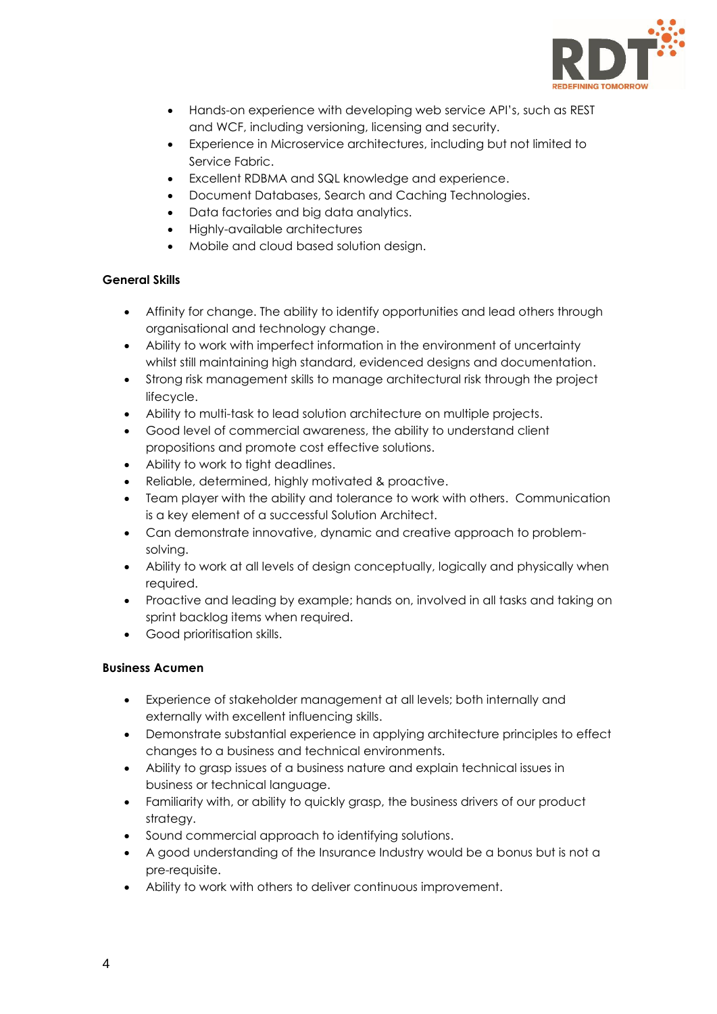

- Hands-on experience with developing web service API's, such as REST and WCF, including versioning, licensing and security.
- Experience in Microservice architectures, including but not limited to Service Fabric.
- Excellent RDBMA and SQL knowledge and experience.
- Document Databases, Search and Caching Technologies.
- Data factories and big data analytics.
- Highly-available architectures
- Mobile and cloud based solution design.

#### **General Skills**

- Affinity for change. The ability to identify opportunities and lead others through organisational and technology change.
- Ability to work with imperfect information in the environment of uncertainty whilst still maintaining high standard, evidenced designs and documentation.
- Strong risk management skills to manage architectural risk through the project lifecycle.
- Ability to multi-task to lead solution architecture on multiple projects.
- Good level of commercial awareness, the ability to understand client propositions and promote cost effective solutions.
- Ability to work to tight deadlines.
- Reliable, determined, highly motivated & proactive.
- Team player with the ability and tolerance to work with others. Communication is a key element of a successful Solution Architect.
- Can demonstrate innovative, dynamic and creative approach to problemsolving.
- Ability to work at all levels of design conceptually, logically and physically when required.
- Proactive and leading by example; hands on, involved in all tasks and taking on sprint backlog items when required.
- Good prioritisation skills.

#### **Business Acumen**

- Experience of stakeholder management at all levels; both internally and externally with excellent influencing skills.
- Demonstrate substantial experience in applying architecture principles to effect changes to a business and technical environments.
- Ability to grasp issues of a business nature and explain technical issues in business or technical language.
- Familiarity with, or ability to quickly grasp, the business drivers of our product strategy.
- Sound commercial approach to identifying solutions.
- A good understanding of the Insurance Industry would be a bonus but is not a pre-requisite.
- Ability to work with others to deliver continuous improvement.